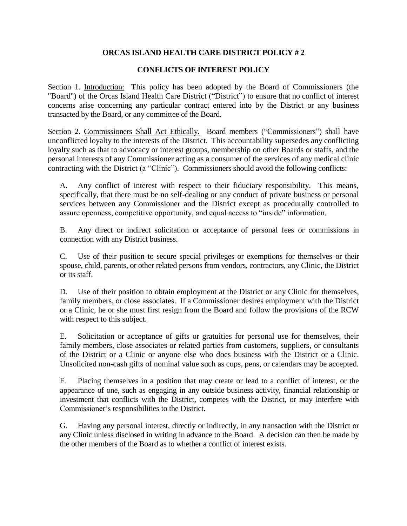## **ORCAS ISLAND HEALTH CARE DISTRICT POLICY # 2**

## **CONFLICTS OF INTEREST POLICY**

Section 1. Introduction: This policy has been adopted by the Board of Commissioners (the "Board") of the Orcas Island Health Care District ("District") to ensure that no conflict of interest concerns arise concerning any particular contract entered into by the District or any business transacted by the Board, or any committee of the Board.

Section 2. Commissioners Shall Act Ethically. Board members ("Commissioners") shall have unconflicted loyalty to the interests of the District. This accountability supersedes any conflicting loyalty such as that to advocacy or interest groups, membership on other Boards or staffs, and the personal interests of any Commissioner acting as a consumer of the services of any medical clinic contracting with the District (a "Clinic"). Commissioners should avoid the following conflicts:

A. Any conflict of interest with respect to their fiduciary responsibility. This means, specifically, that there must be no self-dealing or any conduct of private business or personal services between any Commissioner and the District except as procedurally controlled to assure openness, competitive opportunity, and equal access to "inside" information.

B. Any direct or indirect solicitation or acceptance of personal fees or commissions in connection with any District business.

C. Use of their position to secure special privileges or exemptions for themselves or their spouse, child, parents, or other related persons from vendors, contractors, any Clinic, the District or its staff.

D. Use of their position to obtain employment at the District or any Clinic for themselves, family members, or close associates. If a Commissioner desires employment with the District or a Clinic, he or she must first resign from the Board and follow the provisions of the RCW with respect to this subject.

E. Solicitation or acceptance of gifts or gratuities for personal use for themselves, their family members, close associates or related parties from customers, suppliers, or consultants of the District or a Clinic or anyone else who does business with the District or a Clinic. Unsolicited non-cash gifts of nominal value such as cups, pens, or calendars may be accepted.

F. Placing themselves in a position that may create or lead to a conflict of interest, or the appearance of one, such as engaging in any outside business activity, financial relationship or investment that conflicts with the District, competes with the District, or may interfere with Commissioner's responsibilities to the District.

G. Having any personal interest, directly or indirectly, in any transaction with the District or any Clinic unless disclosed in writing in advance to the Board. A decision can then be made by the other members of the Board as to whether a conflict of interest exists.